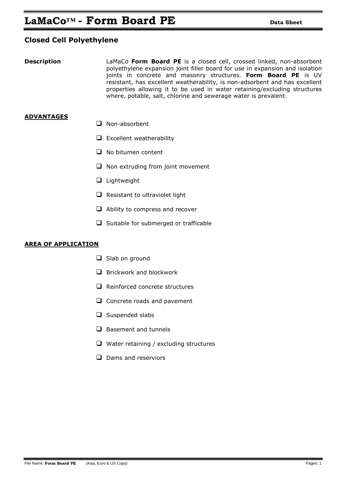## **Closed Cell Polyethylene**

**Description LaMaCo Form Board PE** is a closed cell, crossed linked, non-absorbent polyethylene expansion joint filler board for use in expansion and isolation joints in concrete and masonry structures. **Form Board PE** is UV resistant, has excellent weatherability, is non-adsorbent and has excellent properties allowing it to be used in water retaining/excluding structures where, potable, salt, chlorine and sewerage water is prevalent.

## **ADVANTAGES**

- □ Non-absorbent
- $\Box$  Excellent weatherability
- $\Box$  No bitumen content
- $\Box$  Non extruding from joint movement
- $\Box$  Lightweight
- $\Box$  Resistant to ultraviolet light
- $\Box$  Ability to compress and recover
- $\Box$  Suitable for submerged or trafficable

## **AREA OF APPLICATION**

- $\Box$  Slab on ground
- $\Box$  Brickwork and blockwork
- $\Box$  Reinforced concrete structures
- $\Box$  Concrete roads and pavement
- $\Box$  Suspended slabs
- $\Box$  Basement and tunnels
- $\Box$  Water retaining / excluding structures
- $\Box$  Dams and reserviors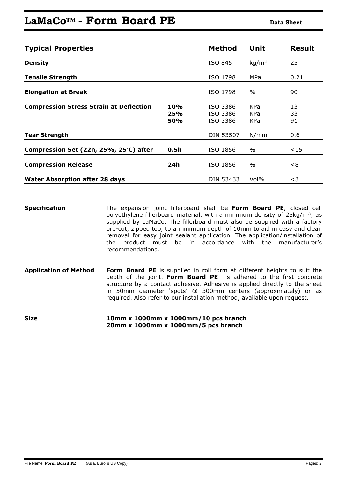# **LaMaCo<sup>™</sup> • Form Board PE Data Sheet**

| <b>Typical Properties</b>                      |                                 | <b>Method</b>                    | Unit              | <b>Result</b>  |
|------------------------------------------------|---------------------------------|----------------------------------|-------------------|----------------|
| <b>Density</b>                                 |                                 | ISO 845                          | kg/m <sup>3</sup> | 25             |
| <b>Tensile Strength</b>                        |                                 | ISO 1798                         | MPa               | 0.21           |
| <b>Elongation at Break</b>                     |                                 | ISO 1798                         | $\%$              | 90             |
| <b>Compression Stress Strain at Deflection</b> | <b>10%</b><br>25%<br><b>50%</b> | ISO 3386<br>ISO 3386<br>ISO 3386 | KPa<br>KPa<br>KPa | 13<br>33<br>91 |
| <b>Tear Strength</b>                           |                                 | <b>DIN 53507</b>                 | N/mm              | 0.6            |
| Compression Set (22n, 25%, 25°C) after         | 0.5h                            | ISO 1856                         | %                 | $15$           |
| <b>Compression Release</b>                     | 24h                             | ISO 1856                         | $\%$              | <8             |
| <b>Water Absorption after 28 days</b>          |                                 | DIN 53433                        | Vol%              | $<$ 3          |

**Specification** The expansion joint fillerboard shall be **Form Board PE**, closed cell polyethylene fillerboard material, with a minimum density of 25kg/m<sup>3</sup>, as supplied by LaMaCo. The fillerboard must also be supplied with a factory pre-cut, zipped top, to a minimum depth of 10mm to aid in easy and clean removal for easy joint sealant application. The application/installation of the product must be in accordance with the manufacturer's recommendations.

- **Application of Method Form Board PE** is supplied in roll form at different heights to suit the depth of the joint. **Form Board PE** is adhered to the first concrete structure by a contact adhesive. Adhesive is applied directly to the sheet in 50mm diameter 'spots' @ 300mm centers (approximately) or as required. Also refer to our installation method, available upon request.
- **Size 10mm x 1000mm x 1000mm/10 pcs branch 20mm x 1000mm x 1000mm/5 pcs branch**